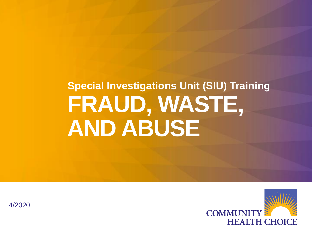# **FRAUD, WASTE, AND ABUSE Special Investigations Unit (SIU) Training**



4/2020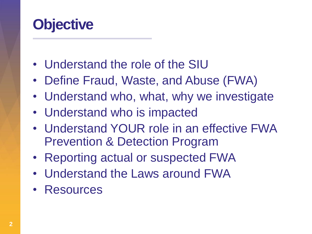#### **Objective**

- Understand the role of the SIU
- Define Fraud, Waste, and Abuse (FWA)
- Understand who, what, why we investigate
- Understand who is impacted
- Understand YOUR role in an effective FWA Prevention & Detection Program
- Reporting actual or suspected FWA
- Understand the Laws around FWA
- Resources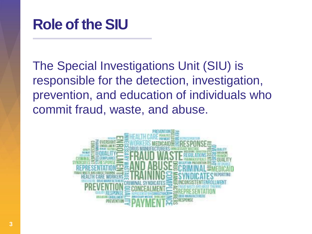

The Special Investigations Unit (SIU) is responsible for the detection, investigation, prevention, and education of individuals who commit fraud, waste, and abuse.

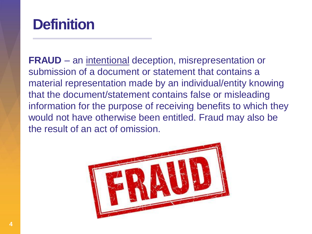#### **Definition**

**FRAUD** – an intentional deception, misrepresentation or submission of a document or statement that contains a material representation made by an individual/entity knowing that the document/statement contains false or misleading information for the purpose of receiving benefits to which they would not have otherwise been entitled. Fraud may also be the result of an act of omission.

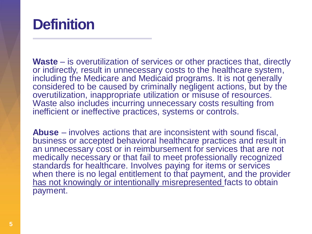#### **Definition**

**Waste** – is overutilization of services or other practices that, directly or indirectly, result in unnecessary costs to the healthcare system, including the Medicare and Medicaid programs. It is not generally considered to be caused by criminally negligent actions, but by the overutilization, inappropriate utilization or misuse of resources. Waste also includes incurring unnecessary costs resulting from inefficient or ineffective practices, systems or controls.

**Abuse** – involves actions that are inconsistent with sound fiscal, business or accepted behavioral healthcare practices and result in an unnecessary cost or in reimbursement for services that are not medically necessary or that fail to meet professionally recognized standards for healthcare. Involves paying for items or services when there is no legal entitlement to that payment, and the provider has not knowingly or intentionally misrepresented facts to obtain payment.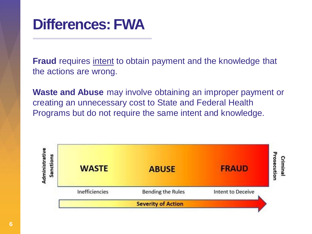

**Fraud** requires intent to obtain payment and the knowledge that the actions are wrong.

**Waste and Abuse** may involve obtaining an improper payment or creating an unnecessary cost to State and Federal Health Programs but do not require the same intent and knowledge.

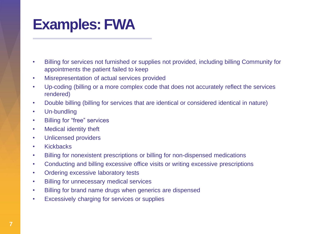#### **Examples: FWA**

- Billing for services not furnished or supplies not provided, including billing Community for appointments the patient failed to keep
- Misrepresentation of actual services provided
- Up-coding (billing or a more complex code that does not accurately reflect the services rendered)
- Double billing (billing for services that are identical or considered identical in nature)
- Un-bundling
- Billing for "free" services
- Medical identity theft
- Unlicensed providers
- Kickbacks
- Billing for nonexistent prescriptions or billing for non-dispensed medications
- Conducting and billing excessive office visits or writing excessive prescriptions
- Ordering excessive laboratory tests
- Billing for unnecessary medical services
- Billing for brand name drugs when generics are dispensed
- Excessively charging for services or supplies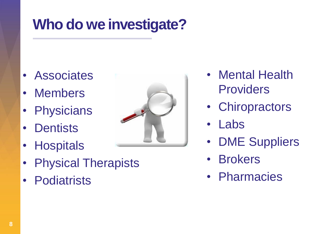### **Who do we investigate?**

- Associates
- Members
- Physicians
- Dentists
- Hospitals
- Physical Therapists
- Podiatrists



- Mental Health **Providers**
- Chiropractors
- Labs
- **DME Suppliers**
- **Brokers**
- Pharmacies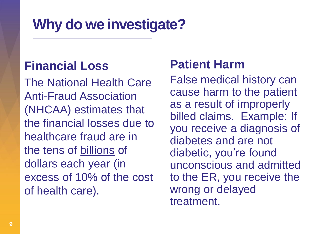### **Why do we investigate?**

#### **Financial Loss**

The National Health Care Anti-Fraud Association (NHCAA) estimates that the financial losses due to healthcare fraud are in the tens of billions of dollars each year (in excess of 10% of the cost of health care).

#### **Patient Harm**

False medical history can cause harm to the patient as a result of improperly billed claims. Example: If you receive a diagnosis of diabetes and are not diabetic, you're found unconscious and admitted to the ER, you receive the wrong or delayed treatment.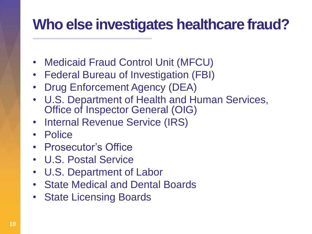#### **Who else investigates healthcare fraud?**

- Medicaid Fraud Control Unit (MFCU)
- Federal Bureau of Investigation (FBI)
- Drug Enforcement Agency (DEA)
- U.S. Department of Health and Human Services, Office of Inspector General (OIG)
- **Internal Revenue Service (IRS)**
- Police
- Prosecutor's Office
- U.S. Postal Service
- U.S. Department of Labor
- State Medical and Dental Boards
- State Licensing Boards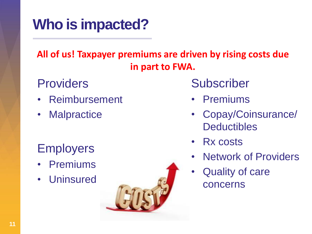# **Who is impacted?**

#### **All of us! Taxpayer premiums are driven by rising costs due in part to FWA.**

#### **Providers**

- Reimbursement
- Malpractice

#### **Employers**

- **Premiums**
- Uninsured



- Premiums
- Copay/Coinsurance/ **Deductibles**
- Rx costs
- **Network of Providers**
- Quality of care concerns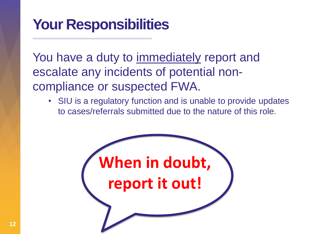#### **Your Responsibilities**

You have a duty to immediately report and escalate any incidents of potential noncompliance or suspected FWA.

• SIU is a regulatory function and is unable to provide updates to cases/referrals submitted due to the nature of this role.

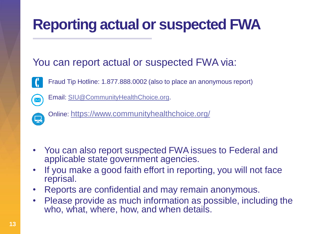# **Reporting actual or suspected FWA**

#### You can report actual or suspected FWA via:



Fraud Tip Hotline: 1.877.888.0002 (also to place an anonymous report)



Email: [SIU@CommunityHealthChoice.org.](mailto:SIU@CommunityHealthChoice.org)



Online: <https://www.communityhealthchoice.org/>

- You can also report suspected FWA issues to Federal and applicable state government agencies.
- If you make a good faith effort in reporting, you will not face reprisal.
- Reports are confidential and may remain anonymous.
- Please provide as much information as possible, including the who, what, where, how, and when details.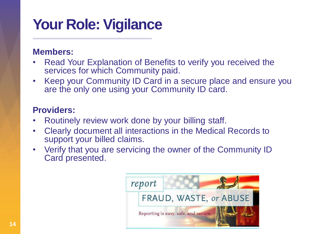# **Your Role: Vigilance**

#### **Members:**

- Read Your Explanation of Benefits to verify you received the services for which Community paid.
- Keep your Community ID Card in a secure place and ensure you are the only one using your Community ID card.

#### **Providers:**

- Routinely review work done by your billing staff.
- Clearly document all interactions in the Medical Records to support your billed claims.
- Verify that you are servicing the owner of the Community ID Card presented.

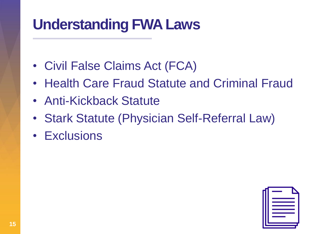### **Understanding FWA Laws**

- Civil False Claims Act (FCA)
- Health Care Fraud Statute and Criminal Fraud
- Anti-Kickback Statute
- Stark Statute (Physician Self-Referral Law)
- Exclusions

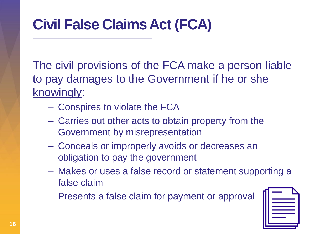# **Civil False Claims Act (FCA)**

The civil provisions of the FCA make a person liable to pay damages to the Government if he or she knowingly:

- Conspires to violate the FCA
- Carries out other acts to obtain property from the Government by misrepresentation
- Conceals or improperly avoids or decreases an obligation to pay the government
- Makes or uses a false record or statement supporting a false claim
- Presents a false claim for payment or approval

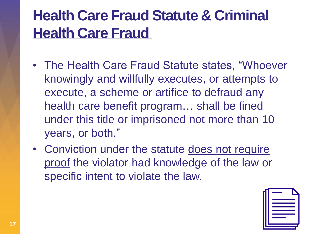# **Health Care Fraud Statute & Criminal Health Care Fraud**

- The Health Care Fraud Statute states, "Whoever knowingly and willfully executes, or attempts to execute, a scheme or artifice to defraud any health care benefit program… shall be fined under this title or imprisoned not more than 10 years, or both."
- Conviction under the statute does not require proof the violator had knowledge of the law or specific intent to violate the law.

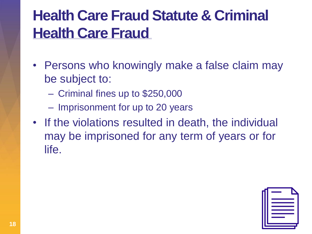# **Health Care Fraud Statute & Criminal Health Care Fraud**

- Persons who knowingly make a false claim may be subject to:
	- Criminal fines up to \$250,000
	- Imprisonment for up to 20 years
- If the violations resulted in death, the individual may be imprisoned for any term of years or for life.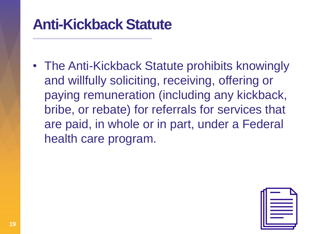#### **Anti-Kickback Statute**

• The Anti-Kickback Statute prohibits knowingly and willfully soliciting, receiving, offering or paying remuneration (including any kickback, bribe, or rebate) for referrals for services that are paid, in whole or in part, under a Federal health care program.

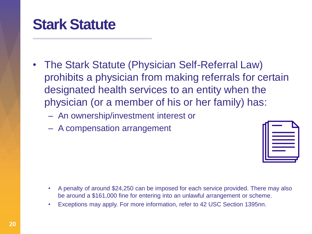#### **Stark Statute**

- The Stark Statute (Physician Self-Referral Law) prohibits a physician from making referrals for certain designated health services to an entity when the physician (or a member of his or her family) has:
	- An ownership/investment interest or
	- A compensation arrangement



- A penalty of around \$24,250 can be imposed for each service provided. There may also be around a \$161,000 fine for entering into an unlawful arrangement or scheme.
- Exceptions may apply. For more information, refer to 42 USC Section 1395nn.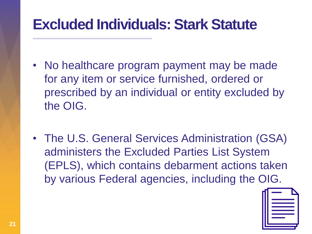#### **Excluded Individuals: Stark Statute**

- No healthcare program payment may be made for any item or service furnished, ordered or prescribed by an individual or entity excluded by the OIG.
- The U.S. General Services Administration (GSA) administers the Excluded Parties List System (EPLS), which contains debarment actions taken by various Federal agencies, including the OIG.